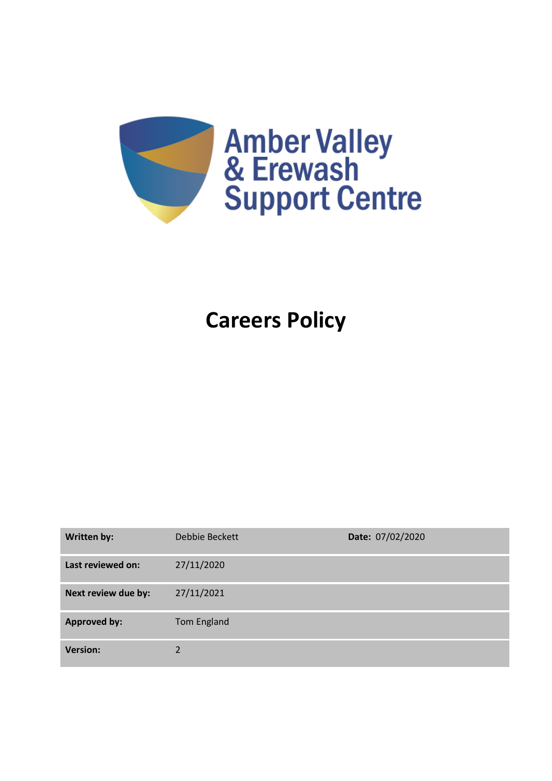

# **Careers Policy**

| <b>Written by:</b>  | Debbie Beckett | Date: 07/02/2020 |
|---------------------|----------------|------------------|
| Last reviewed on:   | 27/11/2020     |                  |
| Next review due by: | 27/11/2021     |                  |
| <b>Approved by:</b> | Tom England    |                  |
| <b>Version:</b>     | C              |                  |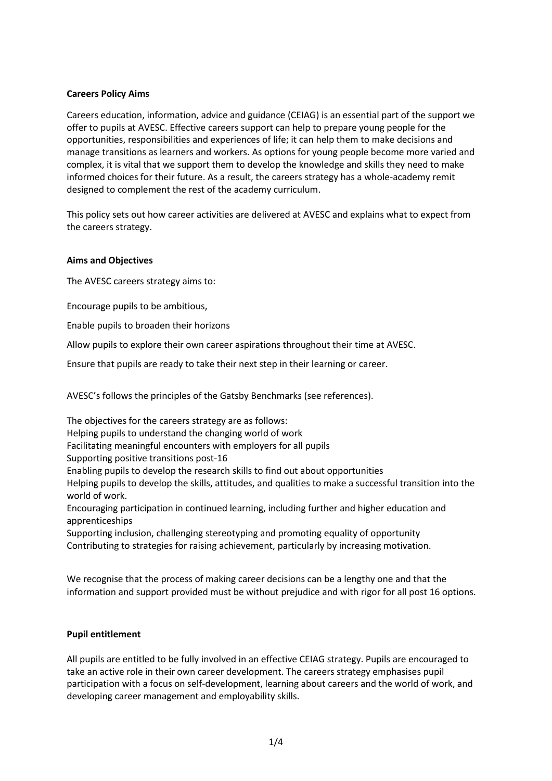### **Careers Policy Aims**

Careers education, information, advice and guidance (CEIAG) is an essential part of the support we offer to pupils at AVESC. Effective careers support can help to prepare young people for the opportunities, responsibilities and experiences of life; it can help them to make decisions and manage transitions as learners and workers. As options for young people become more varied and complex, it is vital that we support them to develop the knowledge and skills they need to make informed choices for their future. As a result, the careers strategy has a whole-academy remit designed to complement the rest of the academy curriculum.

This policy sets out how career activities are delivered at AVESC and explains what to expect from the careers strategy.

#### **Aims and Objectives**

The AVESC careers strategy aims to:

Encourage pupils to be ambitious,

Enable pupils to broaden their horizons

Allow pupils to explore their own career aspirations throughout their time at AVESC.

Ensure that pupils are ready to take their next step in their learning or career.

AVESC's follows the principles of the Gatsby Benchmarks (see references).

The objectives for the careers strategy are as follows: Helping pupils to understand the changing world of work Facilitating meaningful encounters with employers for all pupils Supporting positive transitions post-16 Enabling pupils to develop the research skills to find out about opportunities Helping pupils to develop the skills, attitudes, and qualities to make a successful transition into the world of work. Encouraging participation in continued learning, including further and higher education and apprenticeships

Supporting inclusion, challenging stereotyping and promoting equality of opportunity Contributing to strategies for raising achievement, particularly by increasing motivation.

We recognise that the process of making career decisions can be a lengthy one and that the information and support provided must be without prejudice and with rigor for all post 16 options.

#### **Pupil entitlement**

All pupils are entitled to be fully involved in an effective CEIAG strategy. Pupils are encouraged to take an active role in their own career development. The careers strategy emphasises pupil participation with a focus on self-development, learning about careers and the world of work, and developing career management and employability skills.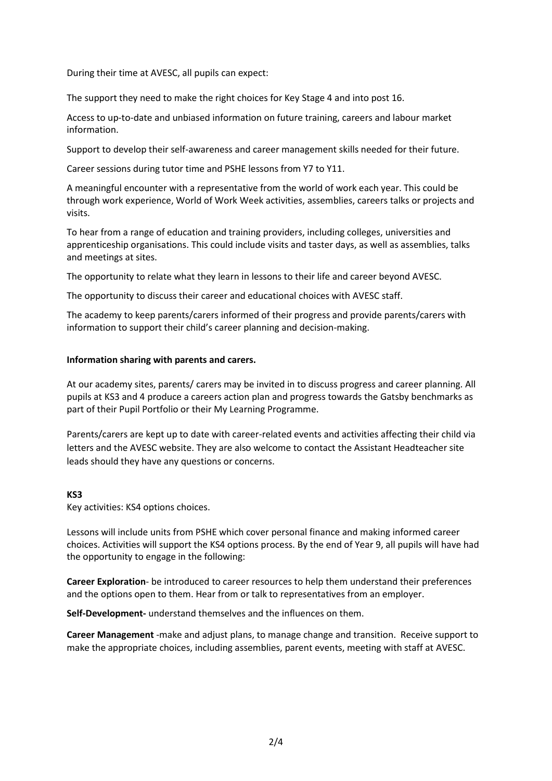During their time at AVESC, all pupils can expect:

The support they need to make the right choices for Key Stage 4 and into post 16.

Access to up-to-date and unbiased information on future training, careers and labour market information.

Support to develop their self-awareness and career management skills needed for their future.

Career sessions during tutor time and PSHE lessons from Y7 to Y11.

A meaningful encounter with a representative from the world of work each year. This could be through work experience, World of Work Week activities, assemblies, careers talks or projects and visits.

To hear from a range of education and training providers, including colleges, universities and apprenticeship organisations. This could include visits and taster days, as well as assemblies, talks and meetings at sites.

The opportunity to relate what they learn in lessons to their life and career beyond AVESC.

The opportunity to discuss their career and educational choices with AVESC staff.

The academy to keep parents/carers informed of their progress and provide parents/carers with information to support their child's career planning and decision-making.

#### **Information sharing with parents and carers.**

At our academy sites, parents/ carers may be invited in to discuss progress and career planning. All pupils at KS3 and 4 produce a careers action plan and progress towards the Gatsby benchmarks as part of their Pupil Portfolio or their My Learning Programme.

Parents/carers are kept up to date with career-related events and activities affecting their child via letters and the AVESC website. They are also welcome to contact the Assistant Headteacher site leads should they have any questions or concerns.

#### **KS3**

Key activities: KS4 options choices.

Lessons will include units from PSHE which cover personal finance and making informed career choices. Activities will support the KS4 options process. By the end of Year 9, all pupils will have had the opportunity to engage in the following:

**Career Exploration**- be introduced to career resources to help them understand their preferences and the options open to them. Hear from or talk to representatives from an employer.

**Self-Development-** understand themselves and the influences on them.

**Career Management** -make and adjust plans, to manage change and transition. Receive support to make the appropriate choices, including assemblies, parent events, meeting with staff at AVESC.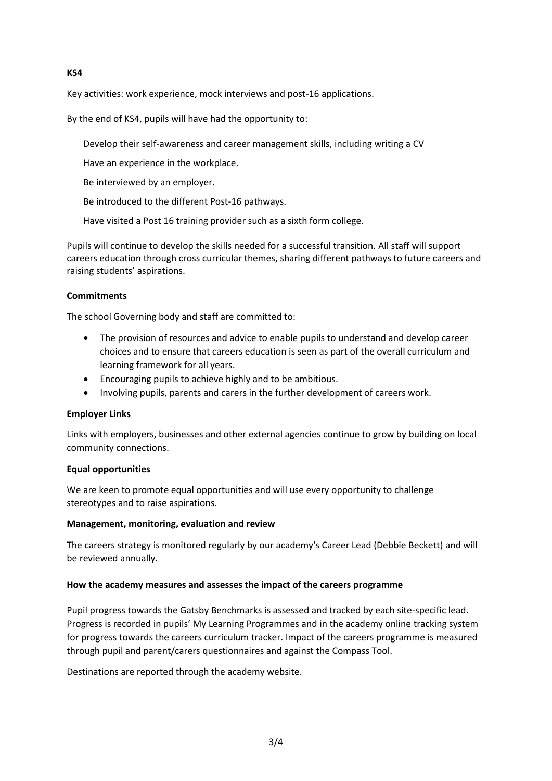## **KS4**

Key activities: work experience, mock interviews and post-16 applications.

By the end of KS4, pupils will have had the opportunity to:

Develop their self-awareness and career management skills, including writing a CV

Have an experience in the workplace.

Be interviewed by an employer.

Be introduced to the different Post-16 pathways.

Have visited a Post 16 training provider such as a sixth form college.

Pupils will continue to develop the skills needed for a successful transition. All staff will support careers education through cross curricular themes, sharing different pathways to future careers and raising students' aspirations.

#### **Commitments**

The school Governing body and staff are committed to:

- The provision of resources and advice to enable pupils to understand and develop career choices and to ensure that careers education is seen as part of the overall curriculum and learning framework for all years.
- Encouraging pupils to achieve highly and to be ambitious.
- Involving pupils, parents and carers in the further development of careers work.

#### **Employer Links**

Links with employers, businesses and other external agencies continue to grow by building on local community connections.

#### **Equal opportunities**

We are keen to promote equal opportunities and will use every opportunity to challenge stereotypes and to raise aspirations.

#### **Management, monitoring, evaluation and review**

The careers strategy is monitored regularly by our academy's Career Lead (Debbie Beckett) and will be reviewed annually.

#### **How the academy measures and assesses the impact of the careers programme**

Pupil progress towards the Gatsby Benchmarks is assessed and tracked by each site-specific lead. Progress is recorded in pupils' My Learning Programmes and in the academy online tracking system for progress towards the careers curriculum tracker. Impact of the careers programme is measured through pupil and parent/carers questionnaires and against the Compass Tool.

Destinations are reported through the academy website.